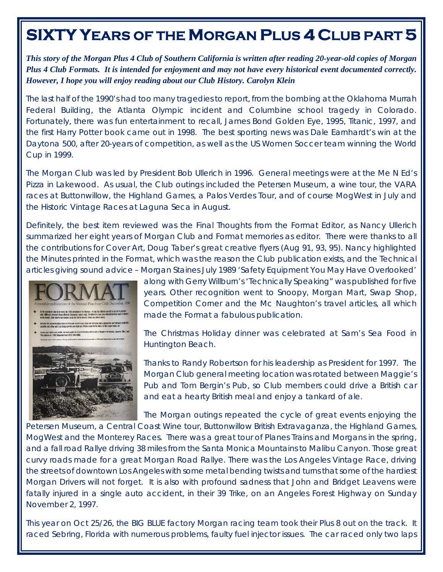## **SIXTY YEARS OF THE MORGAN PLUS 4 CLUB PART 5**

*This story of the Morgan Plus 4 Club of Southern California is written after reading 20-year-old copies of Morgan Plus 4 Club Formats. It is intended for enjoyment and may not have every historical event documented correctly. However, I hope you will enjoy reading about our Club History. Carolyn Klein* 

The last half of the 1990's had too many tragedies to report, from the bombing at the Oklahoma Murrah Federal Building, the Atlanta Olympic incident and Columbine school tragedy in Colorado. Fortunately, there was fun entertainment to recall, James Bond Golden Eye, 1995, Titanic, 1997, and the first Harry Potter book came out in 1998. The best sporting news was Dale Earnhardt's win at the Daytona 500, after 20-years of competition, as well as the US Women Soccer team winning the World Cup in 1999.

The Morgan Club was led by President Bob Ullerich in 1996. General meetings were at the Me N Ed's Pizza in Lakewood. As usual, the Club outings included the Petersen Museum, a wine tour, the VARA races at Buttonwillow, the Highland Games, a Palos Verdes Tour, and of course MogWest in July and the Historic Vintage Races at Laguna Seca in August.

Definitely, the best item reviewed was the Final Thoughts from the Format Editor, as Nancy Ullerich summarized her eight years of Morgan Club and Format memories as editor. There were thanks to all the contributions for Cover Art, Doug Taber's great creative flyers (Aug 91, 93, 95). Nancy highlighted the Minutes printed in the Format, which was the reason the Club publication exists, and the Technical articles giving sound advice – Morgan Staines July 1989 'Safety Equipment You May Have Overlooked'



along with Gerry Willburn's 'Technically Speaking" was published for five years. Other recognition went to Snoopy, Morgan Mart, Swap Shop, Competition Corner and the Mc Naughton's travel articles, all which made the Format a fabulous publication.

The Christmas Holiday dinner was celebrated at Sam's Sea Food in Huntington Beach.

Thanks to Randy Robertson for his leadership as President for 1997. The Morgan Club general meeting location was rotated between Maggie's Pub and Tom Bergin's Pub, so Club members could drive a British car and eat a hearty British meal and enjoy a tankard of ale.

The Morgan outings repeated the cycle of great events enjoying the

Petersen Museum, a Central Coast Wine tour, Buttonwillow British Extravaganza, the Highland Games, MogWest and the Monterey Races. There was a great tour of Planes Trains and Morgans in the spring, and a fall road Rallye driving 38 miles from the Santa Monica Mountains to Malibu Canyon. Those great curvy roads made for a great Morgan Road Rallye. There was the Los Angeles Vintage Race, driving the streets of downtown Los Angeles with some metal bending twists and turns that some of the hardiest Morgan Drivers will not forget. It is also with profound sadness that John and Bridget Leavens were fatally injured in a single auto accident, in their 39 Trike, on an Angeles Forest Highway on Sunday November 2, 1997.

This year on Oct 25/26, the BIG BLUE factory Morgan racing team took their Plus 8 out on the track. It raced Sebring, Florida with numerous problems, faulty fuel injector issues. The car raced only two laps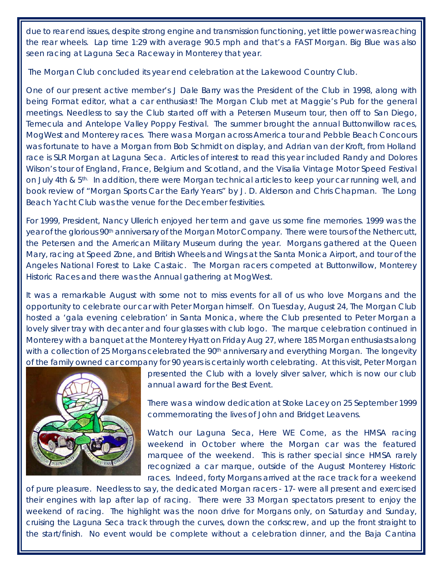due to rear end issues, despite strong engine and transmission functioning, yet little power was reaching the rear wheels. Lap time 1:29 with average 90.5 mph and that's a FAST Morgan. Big Blue was also seen racing at Laguna Seca Raceway in Monterey that year.

The Morgan Club concluded its year end celebration at the Lakewood Country Club.

One of our present active member's J Dale Barry was the President of the Club in 1998, along with being Format editor, what a car enthusiast! The Morgan Club met at Maggie's Pub for the general meetings. Needless to say the Club started off with a Petersen Museum tour, then off to San Diego, Temecula and Antelope Valley Poppy Festival. The summer brought the annual Buttonwillow races, MogWest and Monterey races. There was a Morgan across America tour and Pebble Beach Concours was fortunate to have a Morgan from Bob Schmidt on display, and Adrian van der Kroft, from Holland race is SLR Morgan at Laguna Seca. Articles of interest to read this year included Randy and Dolores Wilson's tour of England, France, Belgium and Scotland, and the Visalia Vintage Motor Speed Festival on July 4th &  $5<sup>th</sup>$ . In addition, there were Morgan technical articles to keep your car running well, and book review of "Morgan Sports Car the Early Years" by J. D. Alderson and Chris Chapman. The Long Beach Yacht Club was the venue for the December festivities.

For 1999, President, Nancy Ullerich enjoyed her term and gave us some fine memories. 1999 was the year of the glorious 90<sup>th</sup> anniversary of the Morgan Motor Company. There were tours of the Nethercutt, the Petersen and the American Military Museum during the year. Morgans gathered at the Queen Mary, racing at Speed Zone, and British Wheels and Wings at the Santa Monica Airport, and tour of the Angeles National Forest to Lake Castaic. The Morgan racers competed at Buttonwillow, Monterey Historic Races and there was the Annual gathering at MogWest.

It was a remarkable August with some not to miss events for all of us who love Morgans and the opportunity to celebrate our car with Peter Morgan himself. On Tuesday, August 24, The Morgan Club hosted a 'gala evening celebration' in Santa Monica, where the Club presented to Peter Morgan a lovely silver tray with decanter and four glasses with club logo. The marque celebration continued in Monterey with a banquet at the Monterey Hyatt on Friday Aug 27, where 185 Morgan enthusiasts along with a collection of 25 Morgans celebrated the 90<sup>th</sup> anniversary and everything Morgan. The longevity of the family owned car company for 90 years is certainly worth celebrating. At this visit, Peter Morgan



presented the Club with a lovely silver salver, which is now our club annual award for the Best Event.

There was a window dedication at Stoke Lacey on 25 September 1999 commemorating the lives of John and Bridget Leavens.

Watch our Laguna Seca, Here WE Come, as the HMSA racing weekend in October where the Morgan car was the featured marquee of the weekend. This is rather special since HMSA rarely recognized a car marque, outside of the August Monterey Historic races. Indeed, forty Morgans arrived at the race track for a weekend

of pure pleasure. Needless to say, the dedicated Morgan racers - 17- were all present and exercised their engines with lap after lap of racing. There were 33 Morgan spectators present to enjoy the weekend of racing. The highlight was the noon drive for Morgans only, on Saturday and Sunday, cruising the Laguna Seca track through the curves, down the corkscrew, and up the front straight to the start/finish. No event would be complete without a celebration dinner, and the Baja Cantina